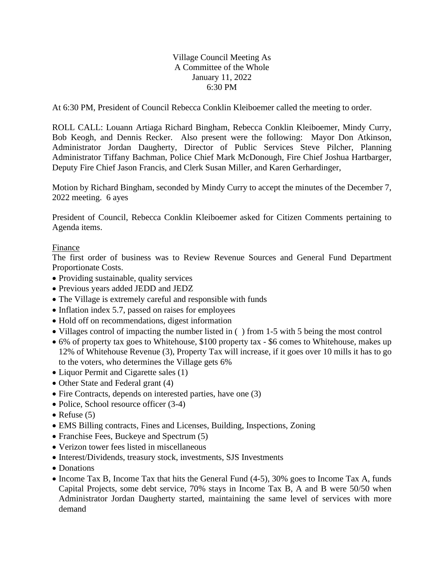Village Council Meeting As A Committee of the Whole January 11, 2022 6:30 PM

At 6:30 PM, President of Council Rebecca Conklin Kleiboemer called the meeting to order.

ROLL CALL: Louann Artiaga Richard Bingham, Rebecca Conklin Kleiboemer, Mindy Curry, Bob Keogh, and Dennis Recker. Also present were the following: Mayor Don Atkinson, Administrator Jordan Daugherty, Director of Public Services Steve Pilcher, Planning Administrator Tiffany Bachman, Police Chief Mark McDonough, Fire Chief Joshua Hartbarger, Deputy Fire Chief Jason Francis, and Clerk Susan Miller, and Karen Gerhardinger,

Motion by Richard Bingham, seconded by Mindy Curry to accept the minutes of the December 7, 2022 meeting. 6 ayes

President of Council, Rebecca Conklin Kleiboemer asked for Citizen Comments pertaining to Agenda items.

## Finance

The first order of business was to Review Revenue Sources and General Fund Department Proportionate Costs.

- Providing sustainable, quality services
- Previous years added JEDD and JEDZ
- The Village is extremely careful and responsible with funds
- Inflation index 5.7, passed on raises for employees
- Hold off on recommendations, digest information
- Villages control of impacting the number listed in () from 1-5 with 5 being the most control
- 6% of property tax goes to Whitehouse, \$100 property tax \$6 comes to Whitehouse, makes up 12% of Whitehouse Revenue (3), Property Tax will increase, if it goes over 10 mills it has to go to the voters, who determines the Village gets 6%
- Liquor Permit and Cigarette sales (1)
- Other State and Federal grant (4)
- Fire Contracts, depends on interested parties, have one (3)
- Police, School resource officer (3-4)
- Refuse  $(5)$
- EMS Billing contracts, Fines and Licenses, Building, Inspections, Zoning
- Franchise Fees, Buckeye and Spectrum  $(5)$
- Verizon tower fees listed in miscellaneous
- Interest/Dividends, treasury stock, investments, SJS Investments
- Donations
- Income Tax B, Income Tax that hits the General Fund (4-5), 30% goes to Income Tax A, funds Capital Projects, some debt service, 70% stays in Income Tax B, A and B were 50/50 when Administrator Jordan Daugherty started, maintaining the same level of services with more demand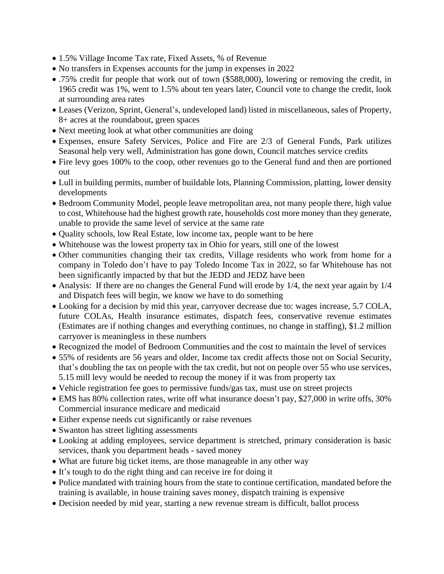- 1.5% Village Income Tax rate, Fixed Assets, % of Revenue
- No transfers in Expenses accounts for the jump in expenses in 2022
- .75% credit for people that work out of town (\$588,000), lowering or removing the credit, in 1965 credit was 1%, went to 1.5% about ten years later, Council vote to change the credit, look at surrounding area rates
- Leases (Verizon, Sprint, General's, undeveloped land) listed in miscellaneous, sales of Property, 8+ acres at the roundabout, green spaces
- Next meeting look at what other communities are doing
- Expenses, ensure Safety Services, Police and Fire are 2/3 of General Funds, Park utilizes Seasonal help very well, Administration has gone down, Council matches service credits
- Fire levy goes 100% to the coop, other revenues go to the General fund and then are portioned out
- Lull in building permits, number of buildable lots, Planning Commission, platting, lower density developments
- Bedroom Community Model, people leave metropolitan area, not many people there, high value to cost, Whitehouse had the highest growth rate, households cost more money than they generate, unable to provide the same level of service at the same rate
- Quality schools, low Real Estate, low income tax, people want to be here
- Whitehouse was the lowest property tax in Ohio for years, still one of the lowest
- Other communities changing their tax credits, Village residents who work from home for a company in Toledo don't have to pay Toledo Income Tax in 2022, so far Whitehouse has not been significantly impacted by that but the JEDD and JEDZ have been
- Analysis: If there are no changes the General Fund will erode by 1/4, the next year again by 1/4 and Dispatch fees will begin, we know we have to do something
- Looking for a decision by mid this year, carryover decrease due to: wages increase, 5.7 COLA, future COLAs, Health insurance estimates, dispatch fees, conservative revenue estimates (Estimates are if nothing changes and everything continues, no change in staffing), \$1.2 million carryover is meaningless in these numbers
- Recognized the model of Bedroom Communities and the cost to maintain the level of services
- 55% of residents are 56 years and older, Income tax credit affects those not on Social Security, that's doubling the tax on people with the tax credit, but not on people over 55 who use services, 5.15 mill levy would be needed to recoup the money if it was from property tax
- Vehicle registration fee goes to permissive funds/gas tax, must use on street projects
- EMS has 80% collection rates, write off what insurance doesn't pay, \$27,000 in write offs, 30% Commercial insurance medicare and medicaid
- Either expense needs cut significantly or raise revenues
- Swanton has street lighting assessments
- Looking at adding employees, service department is stretched, primary consideration is basic services, thank you department heads - saved money
- What are future big ticket items, are those manageable in any other way
- It's tough to do the right thing and can receive ire for doing it
- Police mandated with training hours from the state to continue certification, mandated before the training is available, in house training saves money, dispatch training is expensive
- Decision needed by mid year, starting a new revenue stream is difficult, ballot process